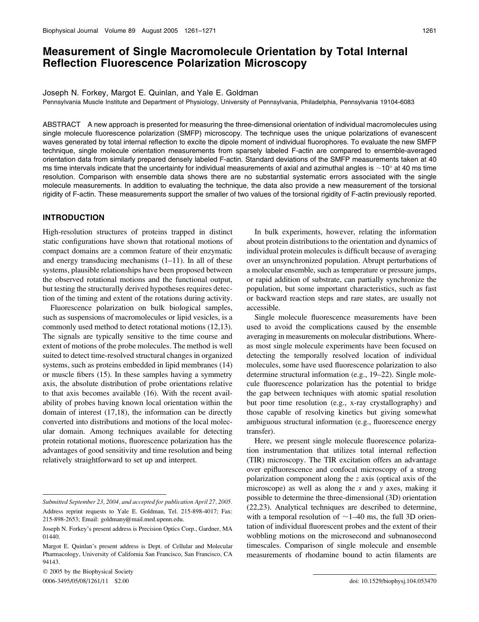## Measurement of Single Macromolecule Orientation by Total Internal Reflection Fluorescence Polarization Microscopy

Joseph N. Forkey, Margot E. Quinlan, and Yale E. Goldman

Pennsylvania Muscle Institute and Department of Physiology, University of Pennsylvania, Philadelphia, Pennsylvania 19104-6083

ABSTRACT A new approach is presented for measuring the three-dimensional orientation of individual macromolecules using single molecule fluorescence polarization (SMFP) microscopy. The technique uses the unique polarizations of evanescent waves generated by total internal reflection to excite the dipole moment of individual fluorophores. To evaluate the new SMFP technique, single molecule orientation measurements from sparsely labeled F-actin are compared to ensemble-averaged orientation data from similarly prepared densely labeled F-actin. Standard deviations of the SMFP measurements taken at 40 ms time intervals indicate that the uncertainty for individual measurements of axial and azimuthal angles is  $\sim$ 10 $^{\circ}$  at 40 ms time resolution. Comparison with ensemble data shows there are no substantial systematic errors associated with the single molecule measurements. In addition to evaluating the technique, the data also provide a new measurement of the torsional rigidity of F-actin. These measurements support the smaller of two values of the torsional rigidity of F-actin previously reported.

## INTRODUCTION

High-resolution structures of proteins trapped in distinct static configurations have shown that rotational motions of compact domains are a common feature of their enzymatic and energy transducing mechanisms  $(1-11)$ . In all of these systems, plausible relationships have been proposed between the observed rotational motions and the functional output, but testing the structurally derived hypotheses requires detection of the timing and extent of the rotations during activity.

Fluorescence polarization on bulk biological samples, such as suspensions of macromolecules or lipid vesicles, is a commonly used method to detect rotational motions (12,13). The signals are typically sensitive to the time course and extent of motions of the probe molecules. The method is well suited to detect time-resolved structural changes in organized systems, such as proteins embedded in lipid membranes (14) or muscle fibers (15). In these samples having a symmetry axis, the absolute distribution of probe orientations relative to that axis becomes available (16). With the recent availability of probes having known local orientation within the domain of interest (17,18), the information can be directly converted into distributions and motions of the local molecular domain. Among techniques available for detecting protein rotational motions, fluorescence polarization has the advantages of good sensitivity and time resolution and being relatively straightforward to set up and interpret.

 $© 2005$  by the Biophysical Society 0006-3495/05/08/1261/11 \$2.00 doi: 10.1529/biophysj.104.053470

In bulk experiments, however, relating the information about protein distributions to the orientation and dynamics of individual protein molecules is difficult because of averaging over an unsynchronized population. Abrupt perturbations of a molecular ensemble, such as temperature or pressure jumps, or rapid addition of substrate, can partially synchronize the population, but some important characteristics, such as fast or backward reaction steps and rare states, are usually not accessible.

Single molecule fluorescence measurements have been used to avoid the complications caused by the ensemble averaging in measurements on molecular distributions. Whereas most single molecule experiments have been focused on detecting the temporally resolved location of individual molecules, some have used fluorescence polarization to also determine structural information (e.g., 19–22). Single molecule fluorescence polarization has the potential to bridge the gap between techniques with atomic spatial resolution but poor time resolution (e.g., x-ray crystallography) and those capable of resolving kinetics but giving somewhat ambiguous structural information (e.g., fluorescence energy transfer).

Here, we present single molecule fluorescence polarization instrumentation that utilizes total internal reflection (TIR) microscopy. The TIR excitation offers an advantage over epifluorescence and confocal microscopy of a strong polarization component along the z axis (optical axis of the microscope) as well as along the  $x$  and  $y$  axes, making it possible to determine the three-dimensional (3D) orientation (22,23). Analytical techniques are described to determine, with a temporal resolution of  $\sim$  1–40 ms, the full 3D orientation of individual fluorescent probes and the extent of their wobbling motions on the microsecond and subnanosecond timescales. Comparison of single molecule and ensemble measurements of rhodamine bound to actin filaments are

Submitted September 23, 2004, and accepted for publication April 27, 2005. Address reprint requests to Yale E. Goldman, Tel. 215-898-4017; Fax: 215-898-2653; Email: goldmany@mail.med.upenn.edu.

Joseph N. Forkey's present address is Precision Optics Corp., Gardner, MA 01440.

Margot E. Quinlan's present address is Dept. of Cellular and Molecular Pharmacology, University of California San Francisco, San Francisco, CA 94143.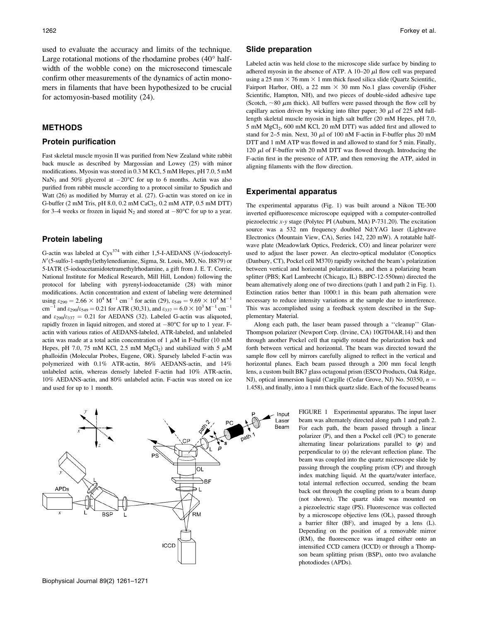used to evaluate the accuracy and limits of the technique. Large rotational motions of the rhodamine probes  $(40^{\circ}$  halfwidth of the wobble cone) on the microsecond timescale confirm other measurements of the dynamics of actin monomers in filaments that have been hypothesized to be crucial for actomyosin-based motility (24).

## METHODS

#### Protein purification

Fast skeletal muscle myosin II was purified from New Zealand white rabbit back muscle as described by Margossian and Lowey (25) with minor modifications. Myosin was stored in 0.3 M KCl, 5 mM Hepes, pH 7.0, 5 mM NaN<sub>3</sub> and 50% glycerol at  $-20^{\circ}$ C for up to 6 months. Actin was also purified from rabbit muscle according to a protocol similar to Spudich and Watt (26) as modified by Murray et al. (27). G-actin was stored on ice in G-buffer (2 mM Tris, pH 8.0, 0.2 mM CaCl<sub>2</sub>, 0.2 mM ATP, 0.5 mM DTT) for 3–4 weeks or frozen in liquid  $N_2$  and stored at  $-80^{\circ}$ C for up to a year.

## Protein labeling

G-actin was labeled at  $Cys^{374}$  with either 1,5-I-AEDANS (N-(iodoacetyl-N9(5-sulfo-1-napthyl)ethylenediamine, Sigma, St. Louis, MO, No. I8879) or 5-IATR (5-iodoacetamidotetramethylrhodamine, a gift from J. E. T. Corrie, National Institute for Medical Research, Mill Hill, London) following the protocol for labeling with pyrenyl-iodoacetamide (28) with minor modifications. Actin concentration and extent of labeling were determined using  $\varepsilon_{290} = 2.66 \times 10^4 \text{ M}^{-1} \text{ cm}^{-1}$  for actin (29),  $\varepsilon_{549} = 9.69 \times 10^4 \text{ M}^{-1}$ cm<sup>-1</sup> and  $\varepsilon_{290}/\varepsilon_{549} = 0.21$  for ATR (30,31), and  $\varepsilon_{337} = 6.0 \times 10^3 \,\mathrm{M}^{-1} \,\mathrm{cm}^{-1}$ and  $\varepsilon_{290}/\varepsilon_{337} = 0.21$  for AEDANS (32). Labeled G-actin was aliquoted, rapidly frozen in liquid nitrogen, and stored at  $-80^{\circ}$ C for up to 1 year. Factin with various ratios of AEDANS-labeled, ATR-labeled, and unlabeled actin was made at a total actin concentration of  $1 \mu M$  in F-buffer (10 mM Hepes, pH 7.0, 75 mM KCl, 2.5 mM MgCl<sub>2</sub>) and stabilized with 5  $\mu$ M phalloidin (Molecular Probes, Eugene, OR). Sparsely labeled F-actin was polymerized with 0.1% ATR-actin, 86% AEDANS-actin, and 14% unlabeled actin, whereas densely labeled F-actin had 10% ATR-actin, 10% AEDANS-actin, and 80% unlabeled actin. F-actin was stored on ice and used for up to 1 month.

# The experimental apparatus (Fig. 1) was built around a Nikon TE-300 inverted epifluorescence microscope equipped with a computer-controlled

piezoelectric x-y stage (Polytec PI (Auburn, MA) P-731.20). The excitation source was a 532 nm frequency doubled Nd:YAG laser (Lightwave Electronics (Mountain View, CA), Series 142, 220 mW). A rotatable halfwave plate (Meadowlark Optics, Frederick, CO) and linear polarizer were used to adjust the laser power. An electro-optical modulator (Conoptics (Danbury, CT), Pockel cell M370) rapidly switched the beam's polarization between vertical and horizontal polarizations, and then a polarizing beam splitter (PBS; Karl Lambrecht (Chicago, IL) BBPC-12-550nm) directed the beam alternatively along one of two directions (path 1 and path 2 in Fig. 1). Extinction ratios better than 1000:1 in this beam path alternation were necessary to reduce intensity variations at the sample due to interference. This was accomplished using a feedback system described in the Supplementary Material.

Along each path, the laser beam passed through a ''cleanup'' Glan-Thompson polarizer (Newport Corp. (Irvine, CA) 10GT04AR.14) and then through another Pockel cell that rapidly rotated the polarization back and forth between vertical and horizontal. The beam was directed toward the sample flow cell by mirrors carefully aligned to reflect in the vertical and horizontal planes. Each beam passed through a 200 mm focal length lens, a custom built BK7 glass octagonal prism (ESCO Products, Oak Ridge, NJ), optical immersion liquid (Cargille (Cedar Grove, NJ) No. 50350,  $n =$ 1.458), and finally, into a 1 mm thick quartz slide. Each of the focused beams

> FIGURE 1 Experimental apparatus. The input laser beam was alternately directed along path 1 and path 2. For each path, the beam passed through a linear polarizer (P), and then a Pockel cell (PC) to generate alternating linear polarizations parallel to (p) and perpendicular to (s) the relevant reflection plane. The beam was coupled into the quartz microscope slide by passing through the coupling prism (CP) and through index matching liquid. At the quartz/water interface, total internal reflection occurred, sending the beam back out through the coupling prism to a beam dump (not shown). The quartz slide was mounted on a piezoelectric stage (PS). Fluorescence was collected by a microscope objective lens (OL), passed through a barrier filter (BF), and imaged by a lens (L). Depending on the position of a removable mirror (RM), the fluorescence was imaged either onto an intensified CCD camera (ICCD) or through a Thompson beam splitting prism (BSP), onto two avalanche photodiodes (APDs).



#### Slide preparation

Labeled actin was held close to the microscope slide surface by binding to adhered myosin in the absence of ATP. A  $10-20$   $\mu$ l flow cell was prepared using a 25 mm  $\times$  76 mm  $\times$  1 mm thick fused silica slide (Quartz Scientific, Fairport Harbor, OH), a 22 mm  $\times$  30 mm No.1 glass coverslip (Fisher Scientific, Hampton, NH), and two pieces of double-sided adhesive tape (Scotch,  $\sim$ 80  $\mu$ m thick). All buffers were passed through the flow cell by capillary action driven by wicking into filter paper; 30  $\mu$ l of 225 nM fulllength skeletal muscle myosin in high salt buffer (20 mM Hepes, pH 7.0, 5 mM MgCl2, 600 mM KCl, 20 mM DTT) was added first and allowed to stand for 2–5 min. Next, 30  $\mu$ l of 100 nM F-actin in F-buffer plus 20 mM DTT and 1 mM ATP was flowed in and allowed to stand for 5 min. Finally, 120  $\mu$ l of F-buffer with 20 mM DTT was flowed through. Introducing the F-actin first in the presence of ATP, and then removing the ATP, aided in aligning filaments with the flow direction.

## Experimental apparatus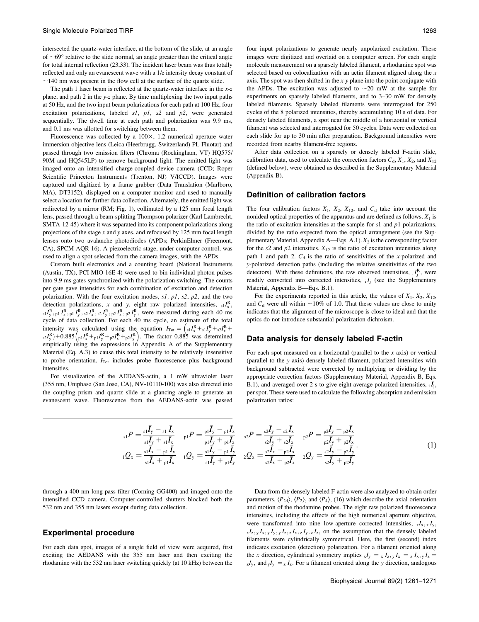intersected the quartz-water interface, at the bottom of the slide, at an angle of  $\sim 69^\circ$  relative to the slide normal, an angle greater than the critical angle for total internal reflection (23,33). The incident laser beam was thus totally reflected and only an evanescent wave with a 1/e intensity decay constant of  $\sim$ 140 nm was present in the flow cell at the surface of the quartz slide.

The path 1 laser beam is reflected at the quartz-water interface in the  $x-z$ plane, and path 2 in the y-z plane. By time multiplexing the two input paths at 50 Hz, and the two input beam polarizations for each path at 100 Hz, four excitation polarizations, labeled  $s1$ ,  $p1$ ,  $s2$  and  $p2$ , were generated sequentially. The dwell time at each path and polarization was 9.9 ms, and 0.1 ms was allotted for switching between them.

Fluorescence was collected by a  $100\times$ , 1.2 numerical aperture water immersion objective lens (Leica (Heerbrugg, Switzerland) PL Fluotar) and passed through two emission filters (Chroma (Rockingham, VT) HQ575/ 90M and HQ545LP) to remove background light. The emitted light was imaged onto an intensified charge-coupled device camera (CCD; Roper Scientific Princeton Instruments (Trenton, NJ) V/ICCD). Images were captured and digitized by a frame grabber (Data Translation (Marlboro, MA), DT3152), displayed on a computer monitor and used to manually select a location for further data collection. Alternately, the emitted light was redirected by a mirror (RM; Fig. 1), collimated by a 125 mm focal length lens, passed through a beam-splitting Thompson polarizer (Karl Lambrecht, SMTA-12-45) where it was separated into its component polarizations along projections of the stage  $x$  and  $y$  axes, and refocused by 125 mm focal length lenses onto two avalanche photodiodes (APDs; PerkinElmer (Freemont, CA), SPCM-AQR-16). A piezoelectric stage, under computer control, was used to align a spot selected from the camera images, with the APDs.

Custom built electronics and a counting board (National Instruments (Austin, TX), PCI-MIO-16E-4) were used to bin individual photon pulses into 9.9 ms gates synchronized with the polarization switching. The counts per gate gave intensities for each combination of excitation and detection polarization. With the four excitation modes,  $s1$ ,  $p1$ ,  $s2$ ,  $p2$ , and the two detection polarizations, x and y, eight raw polarized intensities,  $s_1I_x^R$ ,  $_{s1}I_{y}^{R}$ ,  $_{p1}I_{x}^{R}$ ,  $_{p2}I_{x}^{R}$ ,  $_{s2}I_{y}^{R}$ ,  $_{p2}I_{y}^{R}$ ,  $_{p2}I_{y}^{R}$ , were measured during each 40 ms cycle of data collection. For each 40 ms cycle, an estimate of the total intensity was calculated using the equation  $I_{\text{Tot}} = \left( s_1 I_x^R + s_1 I_y^R + s_2 I_x^R + \cdots \right)$  $_{s2}I_y^{\rm R}$  + 0.885  $\left( {_{p1}I_x^{\rm R} + _{p1}I_y^{\rm R} + _{p2}I_x^{\rm R} + _{p2}I_y^{\rm R}} \right)$ . The factor 0.885 was determined empirically using the expressions in Appendix A of the Supplementary Material (Eq. A.3) to cause this total intensity to be relatively insensitive to probe orientation.  $I_{\text{Tot}}$  includes probe fluorescence plus background intensities.

For visualization of the AEDANS-actin, a 1 mW ultraviolet laser (355 nm, Uniphase (San Jose, CA), NV-10110-100) was also directed into the coupling prism and quartz slide at a glancing angle to generate an evanescent wave. Fluorescence from the AEDANS-actin was passed

four input polarizations to generate nearly unpolarized excitation. These images were digitized and overlaid on a computer screen. For each single molecule measurement on a sparsely labeled filament, a rhodamine spot was selected based on colocalization with an actin filament aligned along the  $x$ axis. The spot was then shifted in the  $x-y$  plane into the point conjugate with the APDs. The excitation was adjusted to  $\sim 20$  mW at the sample for experiments on sparsely labeled filaments, and to 3–30 mW for densely labeled filaments. Sparsely labeled filaments were interrogated for 250 cycles of the 8 polarized intensities, thereby accumulating 10 s of data. For densely labeled filaments, a spot near the middle of a horizontal or vertical filament was selected and interrogated for 50 cycles. Data were collected on each slide for up to 30 min after preparation. Background intensities were recorded from nearby filament-free regions.

After data collection on a sparsely or densely labeled F-actin slide, calibration data, used to calculate the correction factors  $C_d$ ,  $X_1$ ,  $X_2$ , and  $X_{12}$ (defined below), were obtained as described in the Supplementary Material (Appendix B).

#### Definition of calibration factors

The four calibration factors  $X_1$ ,  $X_2$ ,  $X_{12}$ , and  $C_d$  take into account the nonideal optical properties of the apparatus and are defined as follows.  $X_1$  is the ratio of excitation intensities at the sample for  $s1$  and  $p1$  polarizations, divided by the ratio expected from the optical arrangement (see the Supplementary Material, Appendix A—Eqs. A.1).  $X_2$  is the corresponding factor for the s2 and  $p2$  intensities.  $X_{12}$  is the ratio of excitation intensities along path 1 and path 2.  $C_d$  is the ratio of sensitivities of the x-polarized and y-polarized detection paths (including the relative sensitivities of the two detectors). With these definitions, the raw observed intensities,  ${}_{i}I_{j}^{R}$ , were readily converted into corrected intensities,  $iI_j$  (see the Supplementary Material, Appendix B—Eqs. B.1).

For the experiments reported in this article, the values of  $X_1, X_2, X_{12}$ , and  $C_d$  were all within  $\sim$ 10% of 1.0. That these values are close to unity indicates that the alignment of the microscope is close to ideal and that the optics do not introduce substantial polarization dichroism.

## Data analysis for densely labeled F-actin

For each spot measured on a horizontal (parallel to the  $x$  axis) or vertical (parallel to the y axis) densely labeled filament, polarized intensities with background subtracted were corrected by multiplying or dividing by the appropriate correction factors (Supplementary Material, Appendix B, Eqs. B.1), and averaged over 2 s to give eight average polarized intensities,  $_i \overline{I}_j$ , per spot. These were used to calculate the following absorption and emission polarization ratios:

$$
{}_{s1}P = \frac{{}_{s1}\bar{I}_{y} - {}_{s1}\bar{I}_{x}}{{}_{s1}\bar{I}_{y} + {}_{s1}\bar{I}_{x}} \t p1P = \frac{{}_{p1}\bar{I}_{y} - {}_{p1}\bar{I}_{x}}{{}_{p1}\bar{I}_{y} + {}_{p1}\bar{I}_{x}} \t s2P = \frac{{}_{s2}\bar{I}_{y} - {}_{s2}\bar{I}_{x}}{{}_{s2}\bar{I}_{y} + {}_{s2}\bar{I}_{x}} \t p2P = \frac{{}_{p2}\bar{I}_{y} - {}_{p2}\bar{I}_{x}}{{}_{p2}\bar{I}_{y} + {}_{p2}\bar{I}_{x}}
$$
  

$$
{}_{1}Q_{x} = \frac{{}_{s1}\bar{I}_{x} - {}_{p1}\bar{I}_{x}}{{}_{s1}\bar{I}_{x} + {}_{p1}\bar{I}_{x}} \t 1Q_{y} = \frac{{}_{s1}\bar{I}_{y} - {}_{p1}\bar{I}_{y}}{{}_{s1}\bar{I}_{y} + {}_{p1}\bar{I}_{y}} \t 2Q_{x} = \frac{{}_{s2}\bar{I}_{x} - {}_{p2}\bar{I}_{x}}{{}_{s2}\bar{I}_{x} + {}_{p2}\bar{I}_{x}} \t 2Q_{y} = \frac{{}_{s2}\bar{I}_{y} - {}_{p2}\bar{I}_{y}}{{}_{s2}\bar{I}_{y} + {}_{p2}\bar{I}_{y}} \t (1)
$$

through a 400 nm long-pass filter (Corning GG400) and imaged onto the intensified CCD camera. Computer-controlled shutters blocked both the 532 nm and 355 nm lasers except during data collection.

#### Experimental procedure

For each data spot, images of a single field of view were acquired, first exciting the AEDANS with the 355 nm laser and then exciting the rhodamine with the 532 nm laser switching quickly (at 10 kHz) between the

Data from the densely labeled F-actin were also analyzed to obtain order parameters,  $\langle P_{2d} \rangle$ ,  $\langle P_2 \rangle$ , and  $\langle P_4 \rangle$ , (16) which describe the axial orientation and motion of the rhodamine probes. The eight raw polarized fluorescence intensities, including the effects of the high numerical aperture objective, were transformed into nine low-aperture corrected intensities,  $xI_x, xI_y$ ,  $xI_z, yI_x, yI_y, yI_z, zI_x, zI_y, zI_z$ , on the assumption that the densely labeled filaments were cylindrically symmetrical. Here, the first (second) index indicates excitation (detection) polarization. For a filament oriented along the x direction, cylindrical symmetry implies  $xI_y = xI_z, yI_x = zI_x, yI_z =$  $Z_zI_y$ , and  $Y_y = Z_IZ_z$ . For a filament oriented along the y direction, analogous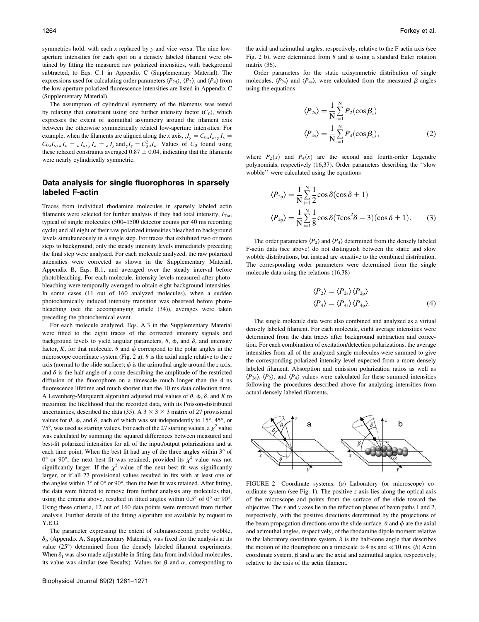symmetries hold, with each  $x$  replaced by  $y$  and vice versa. The nine lowaperture intensities for each spot on a densely labeled filament were obtained by fitting the measured raw polarized intensities, with background subtracted, to Eqs. C.1 in Appendix C (Supplementary Material). The expressions used for calculating order parameters  $\langle P_{2d} \rangle$ ,  $\langle P_2 \rangle$ , and  $\langle P_4 \rangle$  from the low-aperture polarized fluorescence intensities are listed in Appendix C (Supplementary Material).

The assumption of cylindrical symmetry of the filaments was tested by relaxing that constraint using one further intensity factor  $(C_0)$ , which expresses the extent of azimuthal asymmetry around the filament axis between the otherwise symmetrically related low-aperture intensities. For example, when the filaments are aligned along the x axis,  $xI_y = C_{0x}I_z$ ,  $\frac{1}{x}I_x$  $C_{0z}I_{x}$ ,  $I_{z} = I_{x}I_{x}$ ,  $I_{z} = I_{y}$  and  $I_{y} = C_{0z}^{2}I_{z}$ . Values of  $C_{0}$  found using these relaxed constraints averaged  $0.87 \pm 0.04$ , indicating that the filaments were nearly cylindrically symmetric.

## Data analysis for single fluorophores in sparsely labeled F-actin

Traces from individual rhodamine molecules in sparsely labeled actin filaments were selected for further analysis if they had total intensity,  $I_{\text{Tot}}$ , typical of single molecules (500–1500 detector counts per 40 ms recording cycle) and all eight of their raw polarized intensities bleached to background levels simultaneously in a single step. For traces that exhibited two or more steps to background, only the steady intensity levels immediately preceding the final step were analyzed. For each molecule analyzed, the raw polarized intensities were corrected as shown in the Supplementary Material, Appendix B, Eqs. B.1, and averaged over the steady interval before photobleaching. For each molecule, intensity levels measured after photobleaching were temporally averaged to obtain eight background intensities. In some cases (11 out of 160 analyzed molecules), when a sudden photochemically induced intensity transition was observed before photobleaching (see the accompanying article (34)), averages were taken preceding the photochemical event.

For each molecule analyzed, Eqs. A.3 in the Supplementary Material were fitted to the eight traces of the corrected intensity signals and background levels to yield angular parameters,  $\theta$ ,  $\phi$ , and  $\delta$ , and intensity factor, K, for that molecule.  $\theta$  and  $\phi$  correspond to the polar angles in the microscope coordinate system (Fig. 2 a);  $\theta$  is the axial angle relative to the z axis (normal to the slide surface);  $\phi$  is the azimuthal angle around the z axis; and  $\delta$  is the half-angle of a cone describing the amplitude of the restricted diffusion of the fluorophore on a timescale much longer than the 4 ns fluorescence lifetime and much shorter than the 10 ms data collection time. A Levenberg-Marquardt algorithm adjusted trial values of  $\theta$ ,  $\phi$ ,  $\delta$ , and K to maximize the likelihood that the recorded data, with its Poisson-distributed uncertainties, described the data (35). A  $3 \times 3 \times 3$  matrix of 27 provisional values for  $\theta$ ,  $\phi$ , and  $\delta$ , each of which was set independently to 15°, 45°, or 75°, was used as starting values. For each of the 27 starting values, a  $\chi^2$  value was calculated by summing the squared differences between measured and best-fit polarized intensities for all of the input/output polarizations and at each time point. When the best fit had any of the three angles within  $3^\circ$  of  $0^{\circ}$  or 90°, the next best fit was retained, provided its  $\chi^2$  value was not significantly larger. If the  $\chi^2$  value of the next best fit was significantly larger, or if all 27 provisional values resulted in fits with at least one of the angles within  $3^{\circ}$  of  $0^{\circ}$  or  $90^{\circ}$ , then the best fit was retained. After fitting, the data were filtered to remove from further analysis any molecules that, using the criteria above, resulted in fitted angles within  $0.5^{\circ}$  of  $0^{\circ}$  or  $90^{\circ}$ . Using these criteria, 12 out of 160 data points were removed from further analysis. Further details of the fitting algorithm are available by request to Y.E.G.

The parameter expressing the extent of subnanosecond probe wobble,  $\delta_f$ , (Appendix A, Supplementary Material), was fixed for the analysis at its value (25°) determined from the densely labeled filament experiments. When  $\delta_f$  was also made adjustable in fitting data from individual molecules, its value was similar (see Results). Values for  $\beta$  and  $\alpha$ , corresponding to the axial and azimuthal angles, respectively, relative to the F-actin axis (see Fig. 2 b), were determined from  $\theta$  and  $\phi$  using a standard Euler rotation matrix (36).

Order parameters for the static axisymmetric distribution of single molecules,  $\langle P_{2s} \rangle$  and  $\langle P_{4s} \rangle$ , were calculated from the measured  $\beta$ -angles using the equations

$$
\langle P_{2s} \rangle = \frac{1}{N} \sum_{i=1}^{N} P_2(\cos \beta_i)
$$
  

$$
\langle P_{4s} \rangle = \frac{1}{N} \sum_{i=1}^{N} P_4(\cos \beta_i),
$$
 (2)

where  $P_2(x)$  and  $P_4(x)$  are the second and fourth-order Legendre polynomials, respectively (16,37). Order parameters describing the ''slow wobble'' were calculated using the equations

$$
\langle P_{2p} \rangle = \frac{1}{N} \sum_{i=1}^{N} \frac{1}{2} \cos \delta (\cos \delta + 1)
$$
  

$$
\langle P_{4p} \rangle = \frac{1}{N} \sum_{i=1}^{N} \frac{1}{8} \cos \delta (7 \cos^2 \delta - 3) (\cos \delta + 1).
$$
 (3)

The order parameters  $\langle P_2 \rangle$  and  $\langle P_4 \rangle$  determined from the densely labeled F-actin data (see above) do not distinguish between the static and slow wobble distributions, but instead are sensitive to the combined distribution. The corresponding order parameters were determined from the single molecule data using the relations (16,38)

$$
\langle P_2 \rangle = \langle P_{2s} \rangle \langle P_{2p} \rangle
$$
  

$$
\langle P_4 \rangle = \langle P_{4s} \rangle \langle P_{4p} \rangle.
$$
 (4)

The single molecule data were also combined and analyzed as a virtual densely labeled filament. For each molecule, eight average intensities were determined from the data traces after background subtraction and correction. For each combination of excitation/detection polarizations, the average intensities from all of the analyzed single molecules were summed to give the corresponding polarized intensity level expected from a more densely labeled filament. Absorption and emission polarization ratios as well as  $\langle P_{2d} \rangle$ ,  $\langle P_2 \rangle$ , and  $\langle P_4 \rangle$  values were calculated for these summed intensities following the procedures described above for analyzing intensities from actual densely labeled filaments.



FIGURE 2 Coordinate systems. (a) Laboratory (or microscope) coordinate system (see Fig. 1). The positive  $z$  axis lies along the optical axis of the microscope and points from the surface of the slide toward the objective. The  $x$  and  $y$  axes lie in the reflection planes of beam paths 1 and 2, respectively, with the positive directions determined by the projections of the beam propagation directions onto the slide surface.  $\theta$  and  $\phi$  are the axial and azimuthal angles, respectively, of the rhodamine dipole moment relative to the laboratory coordinate system.  $\delta$  is the half-cone angle that describes the motion of the flourophore on a timescale  $\gg$ 4 ns and  $\ll$ 10 ms. (b) Actin coordinate system.  $\beta$  and  $\alpha$  are the axial and azimuthal angles, respectively, relative to the axis of the actin filament.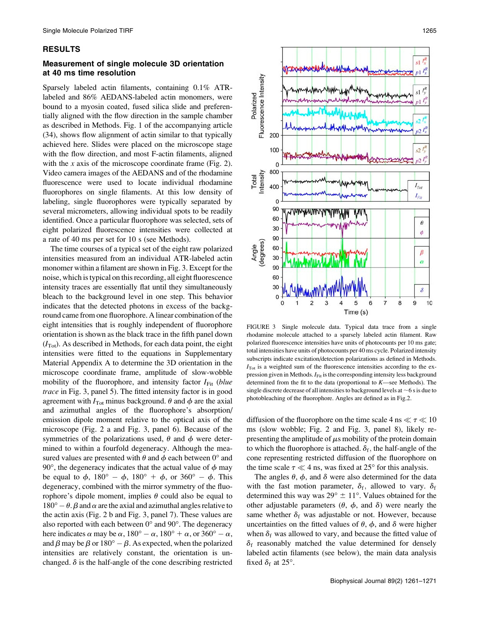## RESULTS

## Measurement of single molecule 3D orientation at 40 ms time resolution

Sparsely labeled actin filaments, containing 0.1% ATRlabeled and 86% AEDANS-labeled actin monomers, were bound to a myosin coated, fused silica slide and preferentially aligned with the flow direction in the sample chamber as described in Methods. Fig. 1 of the accompanying article (34), shows flow alignment of actin similar to that typically achieved here. Slides were placed on the microscope stage with the flow direction, and most F-actin filaments, aligned with the x axis of the microscope coordinate frame (Fig. 2). Video camera images of the AEDANS and of the rhodamine fluorescence were used to locate individual rhodamine fluorophores on single filaments. At this low density of labeling, single fluorophores were typically separated by several micrometers, allowing individual spots to be readily identified. Once a particular fluorophore was selected, sets of eight polarized fluorescence intensities were collected at a rate of 40 ms per set for 10 s (see Methods).

The time courses of a typical set of the eight raw polarized intensities measured from an individual ATR-labeled actin monomer within a filament are shown in Fig. 3. Except for the noise, which is typical on this recording, all eight fluorescence intensity traces are essentially flat until they simultaneously bleach to the background level in one step. This behavior indicates that the detected photons in excess of the background came from one fluorophore. A linear combination of the eight intensities that is roughly independent of fluorophore orientation is shown as the black trace in the fifth panel down  $(I_{\text{Tot}})$ . As described in Methods, for each data point, the eight intensities were fitted to the equations in Supplementary Material Appendix A to determine the 3D orientation in the microscope coordinate frame, amplitude of slow-wobble mobility of the fluorophore, and intensity factor  $I_{Fit}$  (blue trace in Fig. 3, panel 5). The fitted intensity factor is in good agreement with  $I_{\text{Tot}}$  minus background.  $\theta$  and  $\phi$  are the axial and azimuthal angles of the fluorophore's absorption/ emission dipole moment relative to the optical axis of the microscope (Fig. 2 a and Fig. 3, panel 6). Because of the symmetries of the polarizations used,  $\theta$  and  $\phi$  were determined to within a fourfold degeneracy. Although the measured values are presented with  $\theta$  and  $\phi$  each between 0° and 90 $^{\circ}$ , the degeneracy indicates that the actual value of  $\phi$  may be equal to  $\phi$ ,  $180^\circ - \phi$ ,  $180^\circ + \phi$ , or  $360^\circ - \phi$ . This degeneracy, combined with the mirror symmetry of the fluorophore's dipole moment, implies  $\theta$  could also be equal to  $180^\circ - \theta$ .  $\beta$  and  $\alpha$  are the axial and azimuthal angles relative to the actin axis (Fig. 2 b and Fig. 3, panel 7). These values are also reported with each between  $0^{\circ}$  and  $90^{\circ}$ . The degeneracy here indicates  $\alpha$  may be  $\alpha$ ,  $180^{\circ} - \alpha$ ,  $180^{\circ} + \alpha$ , or  $360^{\circ} - \alpha$ , and  $\beta$  may be  $\beta$  or 180° –  $\beta$ . As expected, when the polarized intensities are relatively constant, the orientation is unchanged.  $\delta$  is the half-angle of the cone describing restricted



FIGURE 3 Single molecule data. Typical data trace from a single rhodamine molecule attached to a sparsely labeled actin filament. Raw polarized fluorescence intensities have units of photocounts per 10 ms gate; total intensities have units of photocounts per 40 ms cycle. Polarized intensity subscripts indicate excitation/detection polarizations as defined in Methods.  $I_{\text{Tot}}$  is a weighted sum of the fluorescence intensities according to the expression given in Methods.  $I_{Fit}$  is the corresponding intensity less background determined from the fit to the data (proportional to  $K$ —see Methods). The single discrete decrease of all intensities to background levels at  $\sim$  6 s is due to photobleaching of the fluorophore. Angles are defined as in Fig.2.

diffusion of the fluorophore on the time scale 4 ns  $\ll \tau \ll 10$ ms (slow wobble; Fig. 2 and Fig. 3, panel 8), likely representing the amplitude of  $\mu$ s mobility of the protein domain to which the fluorophore is attached.  $\delta_f$ , the half-angle of the cone representing restricted diffusion of the fluorophore on the time scale  $\tau \ll 4$  ns, was fixed at 25° for this analysis.

The angles  $\theta$ ,  $\phi$ , and  $\delta$  were also determined for the data with the fast motion parameter,  $\delta_f$ , allowed to vary.  $\delta_f$ determined this way was  $29^{\circ} \pm 11^{\circ}$ . Values obtained for the other adjustable parameters  $(\theta, \phi, \phi)$  and  $\delta$ ) were nearly the same whether  $\delta_f$  was adjustable or not. However, because uncertainties on the fitted values of  $\theta$ ,  $\phi$ , and  $\delta$  were higher when  $\delta_f$  was allowed to vary, and because the fitted value of  $\delta_f$  reasonably matched the value determined for densely labeled actin filaments (see below), the main data analysis fixed  $\delta_f$  at 25°.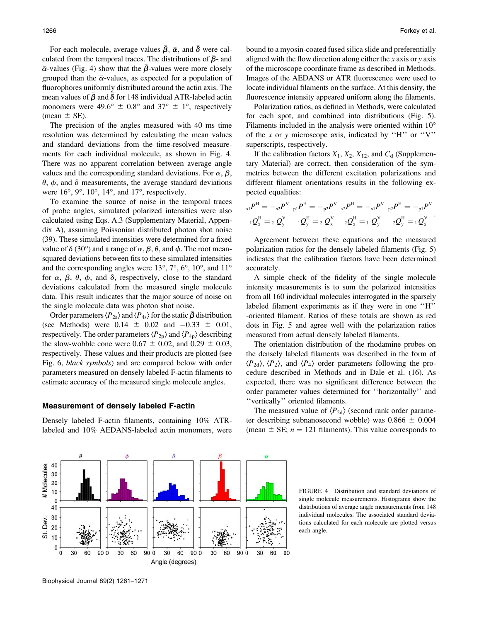For each molecule, average values  $\bar{\beta}$ ,  $\bar{\alpha}$ , and  $\bar{\delta}$  were calculated from the temporal traces. The distributions of  $\bar{\beta}$ - and  $\bar{\alpha}$ -values (Fig. 4) show that the  $\bar{\beta}$ -values were more closely grouped than the  $\bar{\alpha}$ -values, as expected for a population of fluorophores uniformly distributed around the actin axis. The mean values of  $\beta$  and  $\delta$  for 148 individual ATR-labeled actin monomers were 49.6°  $\pm$  0.8° and 37°  $\pm$  1°, respectively (mean  $\pm$  SE).

The precision of the angles measured with 40 ms time resolution was determined by calculating the mean values and standard deviations from the time-resolved measurements for each individual molecule, as shown in Fig. 4. There was no apparent correlation between average angle values and the corresponding standard deviations. For  $\alpha$ ,  $\beta$ ,  $\theta$ ,  $\phi$ , and  $\delta$  measurements, the average standard deviations were  $16^{\circ}$ ,  $9^{\circ}$ ,  $10^{\circ}$ ,  $14^{\circ}$ , and  $17^{\circ}$ , respectively.

To examine the source of noise in the temporal traces of probe angles, simulated polarized intensities were also calculated using Eqs. A.3 (Supplementary Material, Appendix A), assuming Poissonian distributed photon shot noise (39). These simulated intensities were determined for a fixed value of  $\delta$  (30°) and a range of  $\alpha$ ,  $\beta$ ,  $\theta$ , and  $\phi$ . The root meansquared deviations between fits to these simulated intensities and the corresponding angles were  $13^{\circ}$ ,  $7^{\circ}$ ,  $6^{\circ}$ ,  $10^{\circ}$ , and  $11^{\circ}$ for  $\alpha$ ,  $\beta$ ,  $\theta$ ,  $\phi$ , and  $\delta$ , respectively, close to the standard deviations calculated from the measured single molecule data. This result indicates that the major source of noise on the single molecule data was photon shot noise.

Order parameters  $\langle P_{2s} \rangle$  and  $\langle P_{4s} \rangle$  for the static  $\beta$  distribution (see Methods) were  $0.14 \pm 0.02$  and  $-0.33 \pm 0.01$ , respectively. The order parameters  $\langle P_{2p} \rangle$  and  $\langle P_{4p} \rangle$  describing the slow-wobble cone were  $0.67 \pm 0.02$ , and  $0.29 \pm 0.03$ , respectively. These values and their products are plotted (see Fig. 6, black symbols) and are compared below with order parameters measured on densely labeled F-actin filaments to estimate accuracy of the measured single molecule angles.

#### Measurement of densely labeled F-actin

Densely labeled F-actin filaments, containing 10% ATRlabeled and 10% AEDANS-labeled actin monomers, were bound to a myosin-coated fused silica slide and preferentially aligned with the flow direction along either the x axis or y axis of the microscope coordinate frame as described in Methods. Images of the AEDANS or ATR fluorescence were used to locate individual filaments on the surface. At this density, the fluorescence intensity appeared uniform along the filaments.

Polarization ratios, as defined in Methods, were calculated for each spot, and combined into distributions (Fig. 5). Filaments included in the analysis were oriented within 10<sup>o</sup> of the x or y microscope axis, indicated by "H" or "V" superscripts, respectively.

If the calibration factors  $X_1, X_2, X_{12}$ , and  $C_d$  (Supplementary Material) are correct, then consideration of the symmetries between the different excitation polarizations and different filament orientations results in the following expected equalities:

$$
{}_{s1}P^H = -{}_{s2}P^V{}_{p1}P^H = -{}_{p2}P^V{}_{s2}P^H = -{}_{s1}P^V{}_{p2}P^H = -{}_{p1}P^V
$$
  

$$
{}_{1}Q_x^H = {}_{2}Q_y^V{}_{1}Q_y^H = {}_{2}Q_x^V{}_{2}Q_x^H = {}_{1}Q_y^V{}_{2}Q_y^H = {}_{1}Q_x^V
$$

Agreement between these equations and the measured polarization ratios for the densely labeled filaments (Fig. 5) indicates that the calibration factors have been determined accurately.

A simple check of the fidelity of the single molecule intensity measurements is to sum the polarized intensities from all 160 individual molecules interrogated in the sparsely labeled filament experiments as if they were in one ''H'' -oriented filament. Ratios of these totals are shown as red dots in Fig. 5 and agree well with the polarization ratios measured from actual densely labeled filaments.

The orientation distribution of the rhodamine probes on the densely labeled filaments was described in the form of  $\langle P_{2d} \rangle$ ,  $\langle P_2 \rangle$ , and  $\langle P_4 \rangle$  order parameters following the procedure described in Methods and in Dale et al. (16). As expected, there was no significant difference between the order parameter values determined for ''horizontally'' and ''vertically'' oriented filaments.

The measured value of  $\langle P_{2d} \rangle$  (second rank order parameter describing subnanosecond wobble) was  $0.866 \pm 0.004$ (mean  $\pm$  SE;  $n = 121$  filaments). This value corresponds to

FIGURE 4 Distribution and standard deviations of single molecule measurements. Histograms show the distributions of average angle measurements from 148 individual molecules. The associated standard deviations calculated for each molecule are plotted versus each angle.

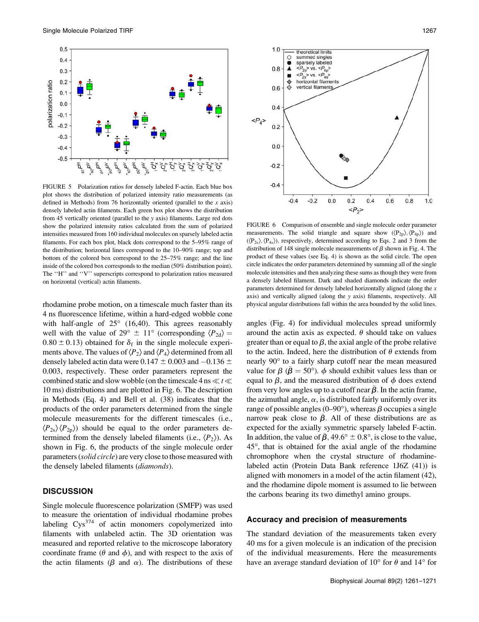

FIGURE 5 Polarization ratios for densely labeled F-actin. Each blue box plot shows the distribution of polarized intensity ratio measurements (as defined in Methods) from 76 horizontally oriented (parallel to the  $x$  axis) densely labeled actin filaments. Each green box plot shows the distribution from 45 vertically oriented (parallel to the y axis) filaments. Large red dots show the polarized intensity ratios calculated from the sum of polarized intensities measured from 160 individual molecules on sparsely labeled actin filaments. For each box plot, black dots correspond to the 5–95% range of the distribution; horizontal lines correspond to the 10–90% range; top and bottom of the colored box correspond to the 25–75% range; and the line inside of the colored box corresponds to the median (50% distribution point). The ''H'' and ''V'' superscripts correspond to polarization ratios measured on horizontal (vertical) actin filaments.

rhodamine probe motion, on a timescale much faster than its 4 ns fluorescence lifetime, within a hard-edged wobble cone with half-angle of  $25^{\circ}$  (16,40). This agrees reasonably well with the value of 29°  $\pm$  11° (corresponding  $\langle P_{2d} \rangle =$  $0.80 \pm 0.13$ ) obtained for  $\delta_f$  in the single molecule experiments above. The values of  $\langle P_2 \rangle$  and  $\langle P_4 \rangle$  determined from all densely labeled actin data were 0.147  $\pm$  0.003 and -0.136  $\pm$ 0.003, respectively. These order parameters represent the combined static and slow wobble (on the timescale 4 ns  $\ll t \ll$ 10 ms) distributions and are plotted in Fig. 6. The description in Methods (Eq. 4) and Bell et al. (38) indicates that the products of the order parameters determined from the single molecule measurements for the different timescales (i.e.,  $\langle P_{2s} \rangle \langle P_{2p} \rangle$  should be equal to the order parameters determined from the densely labeled filaments (i.e.,  $\langle P_2 \rangle$ ). As shown in Fig. 6, the products of the single molecule order parameters (*solid circle*) are very close to those measured with the densely labeled filaments (diamonds).

## **DISCUSSION**

Single molecule fluorescence polarization (SMFP) was used to measure the orientation of individual rhodamine probes labeling  $Cys^{374}$  of actin monomers copolymerized into filaments with unlabeled actin. The 3D orientation was measured and reported relative to the microscope laboratory coordinate frame ( $\theta$  and  $\phi$ ), and with respect to the axis of the actin filaments ( $\beta$  and  $\alpha$ ). The distributions of these



FIGURE 6 Comparison of ensemble and single molecule order parameter measurements. The solid triangle and square show  $(\langle P_{2p} \rangle, \langle P_{4p} \rangle)$  and  $(\langle P_{2s}\rangle, \langle P_{4s}\rangle)$ , respectively, determined according to Eqs. 2 and 3 from the distribution of 148 single molecule measurements of  $\beta$  shown in Fig. 4. The product of these values (see Eq. 4) is shown as the solid circle. The open circle indicates the order parameters determined by summing all of the single molecule intensities and then analyzing these sums as though they were from a densely labeled filament. Dark and shaded diamonds indicate the order parameters determined for densely labeled horizontally aligned (along the  $x$ axis) and vertically aligned (along the y axis) filaments, respectively. All physical angular distributions fall within the area bounded by the solid lines.

angles (Fig. 4) for individual molecules spread uniformly around the actin axis as expected.  $\theta$  should take on values greater than or equal to  $\beta$ , the axial angle of the probe relative to the actin. Indeed, here the distribution of  $\theta$  extends from nearly 90° to a fairly sharp cutoff near the mean measured value for  $\beta$  ( $\beta = 50^{\circ}$ ).  $\phi$  should exhibit values less than or equal to  $\beta$ , and the measured distribution of  $\phi$  does extend from very low angles up to a cutoff near  $\beta$ . In the actin frame, the azimuthal angle,  $\alpha$ , is distributed fairly uniformly over its range of possible angles (0–90 $^{\circ}$ ), whereas  $\beta$  occupies a single narrow peak close to  $\beta$ . All of these distributions are as expected for the axially symmetric sparsely labeled F-actin. In addition, the value of  $\beta$ , 49.6°  $\pm$  0.8°, is close to the value,  $45^{\circ}$ , that is obtained for the axial angle of the rhodamine chromophore when the crystal structure of rhodaminelabeled actin (Protein Data Bank reference 1J6Z (41)) is aligned with monomers in a model of the actin filament (42), and the rhodamine dipole moment is assumed to lie between the carbons bearing its two dimethyl amino groups.

## Accuracy and precision of measurements

The standard deviation of the measurements taken every 40 ms for a given molecule is an indication of the precision of the individual measurements. Here the measurements have an average standard deviation of 10 $\degree$  for  $\theta$  and 14 $\degree$  for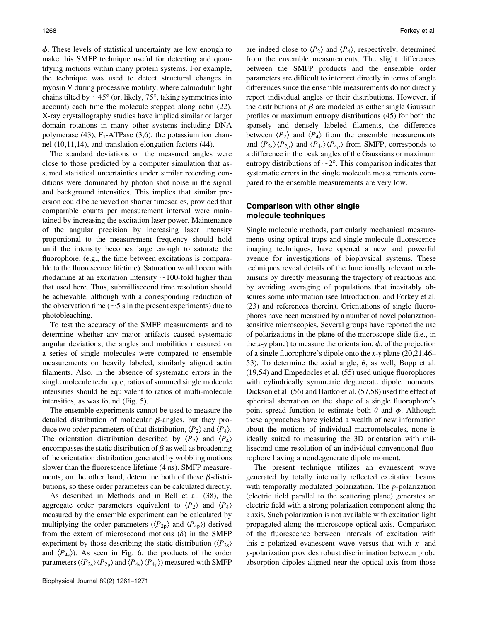$\phi$ . These levels of statistical uncertainty are low enough to make this SMFP technique useful for detecting and quantifying motions within many protein systems. For example, the technique was used to detect structural changes in myosin V during processive motility, where calmodulin light chains tilted by  $\sim$ 45 $\degree$  (or, likely, 75 $\degree$ , taking symmetries into account) each time the molecule stepped along actin (22). X-ray crystallography studies have implied similar or larger domain rotations in many other systems including DNA polymerase (43),  $F_1$ -ATPase (3,6), the potassium ion channel (10,11,14), and translation elongation factors (44).

The standard deviations on the measured angles were close to those predicted by a computer simulation that assumed statistical uncertainties under similar recording conditions were dominated by photon shot noise in the signal and background intensities. This implies that similar precision could be achieved on shorter timescales, provided that comparable counts per measurement interval were maintained by increasing the excitation laser power. Maintenance of the angular precision by increasing laser intensity proportional to the measurement frequency should hold until the intensity becomes large enough to saturate the fluorophore, (e.g., the time between excitations is comparable to the fluorescence lifetime). Saturation would occur with rhodamine at an excitation intensity  $\sim$ 100-fold higher than that used here. Thus, submillisecond time resolution should be achievable, although with a corresponding reduction of the observation time ( $\sim$ 5 s in the present experiments) due to photobleaching.

To test the accuracy of the SMFP measurements and to determine whether any major artifacts caused systematic angular deviations, the angles and mobilities measured on a series of single molecules were compared to ensemble measurements on heavily labeled, similarly aligned actin filaments. Also, in the absence of systematic errors in the single molecule technique, ratios of summed single molecule intensities should be equivalent to ratios of multi-molecule intensities, as was found (Fig. 5).

The ensemble experiments cannot be used to measure the detailed distribution of molecular  $\beta$ -angles, but they produce two order parameters of that distribution,  $\langle P_2 \rangle$  and  $\langle P_4 \rangle$ . The orientation distribution described by  $\langle P_2 \rangle$  and  $\langle P_4 \rangle$ encompasses the static distribution of  $\beta$  as well as broadening of the orientation distribution generated by wobbling motions slower than the fluorescence lifetime (4 ns). SMFP measurements, on the other hand, determine both of these  $\beta$ -distributions, so these order parameters can be calculated directly.

As described in Methods and in Bell et al. (38), the aggregate order parameters equivalent to  $\langle P_2 \rangle$  and  $\langle P_4 \rangle$ measured by the ensemble experiment can be calculated by multiplying the order parameters ( $\langle P_{2p} \rangle$  and  $\langle P_{4p} \rangle$ ) derived from the extent of microsecond motions  $(\delta)$  in the SMFP experiment by those describing the static distribution  $(\langle P_{2s} \rangle)$ and  $\langle P_{4s} \rangle$ ). As seen in Fig. 6, the products of the order parameters ( $\langle P_{2s} \rangle \langle P_{2p} \rangle$  and  $\langle P_{4s} \rangle \langle P_{4p} \rangle$ ) measured with SMFP

are indeed close to  $\langle P_2 \rangle$  and  $\langle P_4 \rangle$ , respectively, determined from the ensemble measurements. The slight differences between the SMFP products and the ensemble order parameters are difficult to interpret directly in terms of angle differences since the ensemble measurements do not directly report individual angles or their distributions. However, if the distributions of  $\beta$  are modeled as either single Gaussian profiles or maximum entropy distributions (45) for both the sparsely and densely labeled filaments, the difference between  $\langle P_2 \rangle$  and  $\langle P_4 \rangle$  from the ensemble measurements and  $\langle P_{2s} \rangle \langle P_{2p} \rangle$  and  $\langle P_{4s} \rangle \langle P_{4p} \rangle$  from SMFP, corresponds to a difference in the peak angles of the Gaussians or maximum entropy distributions of  $\sim$ 2°. This comparison indicates that systematic errors in the single molecule measurements compared to the ensemble measurements are very low.

## Comparison with other single molecule techniques

Single molecule methods, particularly mechanical measurements using optical traps and single molecule fluorescence imaging techniques, have opened a new and powerful avenue for investigations of biophysical systems. These techniques reveal details of the functionally relevant mechanisms by directly measuring the trajectory of reactions and by avoiding averaging of populations that inevitably obscures some information (see Introduction, and Forkey et al. (23) and references therein). Orientations of single fluorophores have been measured by a number of novel polarizationsensitive microscopies. Several groups have reported the use of polarizations in the plane of the microscope slide (i.e., in the x-y plane) to measure the orientation,  $\phi$ , of the projection of a single fluorophore's dipole onto the x-y plane  $(20,21,46-$ 53). To determine the axial angle,  $\theta$ , as well, Bopp et al. (19,54) and Empedocles et al. (55) used unique fluorophores with cylindrically symmetric degenerate dipole moments. Dickson et al. (56) and Bartko et al. (57,58) used the effect of spherical aberration on the shape of a single fluorophore's point spread function to estimate both  $\theta$  and  $\phi$ . Although these approaches have yielded a wealth of new information about the motions of individual macromolecules, none is ideally suited to measuring the 3D orientation with millisecond time resolution of an individual conventional fluorophore having a nondegenerate dipole moment.

The present technique utilizes an evanescent wave generated by totally internally reflected excitation beams with temporally modulated polarization. The  $p$ -polarization (electric field parallel to the scattering plane) generates an electric field with a strong polarization component along the z axis. Such polarization is not available with excitation light propagated along the microscope optical axis. Comparison of the fluorescence between intervals of excitation with this z polarized evanescent wave versus that with  $x$ - and y-polarization provides robust discrimination between probe absorption dipoles aligned near the optical axis from those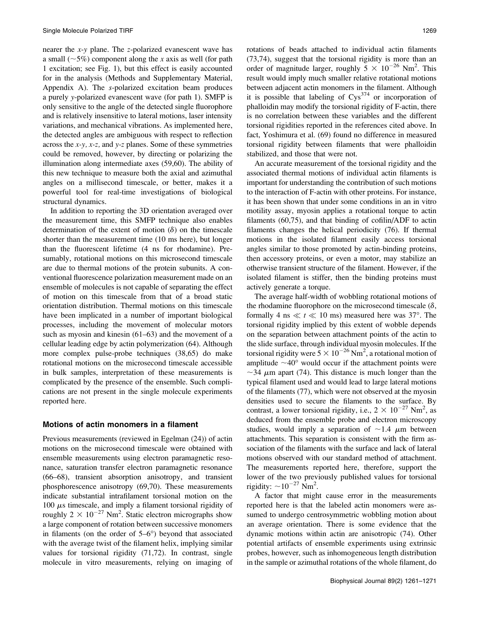nearer the x-y plane. The z-polarized evanescent wave has a small ( $\sim$ 5%) component along the x axis as well (for path 1 excitation; see Fig. 1), but this effect is easily accounted for in the analysis (Methods and Supplementary Material, Appendix A). The s-polarized excitation beam produces a purely y-polarized evanescent wave (for path 1). SMFP is only sensitive to the angle of the detected single fluorophore and is relatively insensitive to lateral motions, laser intensity variations, and mechanical vibrations. As implemented here, the detected angles are ambiguous with respect to reflection across the  $x-y$ ,  $x-z$ , and  $y-z$  planes. Some of these symmetries could be removed, however, by directing or polarizing the illumination along intermediate axes (59,60). The ability of this new technique to measure both the axial and azimuthal angles on a millisecond timescale, or better, makes it a powerful tool for real-time investigations of biological structural dynamics.

In addition to reporting the 3D orientation averaged over the measurement time, this SMFP technique also enables determination of the extent of motion  $(\delta)$  on the timescale shorter than the measurement time (10 ms here), but longer than the fluorescent lifetime (4 ns for rhodamine). Presumably, rotational motions on this microsecond timescale are due to thermal motions of the protein subunits. A conventional fluorescence polarization measurement made on an ensemble of molecules is not capable of separating the effect of motion on this timescale from that of a broad static orientation distribution. Thermal motions on this timescale have been implicated in a number of important biological processes, including the movement of molecular motors such as myosin and kinesin (61–63) and the movement of a cellular leading edge by actin polymerization (64). Although more complex pulse-probe techniques (38,65) do make rotational motions on the microsecond timescale accessible in bulk samples, interpretation of these measurements is complicated by the presence of the ensemble. Such complications are not present in the single molecule experiments reported here.

#### Motions of actin monomers in a filament

Previous measurements (reviewed in Egelman (24)) of actin motions on the microsecond timescale were obtained with ensemble measurements using electron paramagnetic resonance, saturation transfer electron paramagnetic resonance (66–68), transient absorption anisotropy, and transient phosphorescence anisotropy (69,70). These measurements indicate substantial intrafilament torsional motion on the 100  $\mu$ s timescale, and imply a filament torsional rigidity of roughly  $2 \times 10^{-27}$  Nm<sup>2</sup>. Static electron micrographs show a large component of rotation between successive monomers in filaments (on the order of  $5-6^{\circ}$ ) beyond that associated with the average twist of the filament helix, implying similar values for torsional rigidity (71,72). In contrast, single molecule in vitro measurements, relying on imaging of rotations of beads attached to individual actin filaments (73,74), suggest that the torsional rigidity is more than an order of magnitude larger, roughly  $5 \times 10^{-26}$  Nm<sup>2</sup>. This result would imply much smaller relative rotational motions between adjacent actin monomers in the filament. Although it is possible that labeling of  $Cys^{374}$  or incorporation of phalloidin may modify the torsional rigidity of F-actin, there is no correlation between these variables and the different torsional rigidities reported in the references cited above. In fact, Yoshimura et al. (69) found no difference in measured torsional rigidity between filaments that were phalloidin stabilized, and those that were not.

An accurate measurement of the torsional rigidity and the associated thermal motions of individual actin filaments is important for understanding the contribution of such motions to the interaction of F-actin with other proteins. For instance, it has been shown that under some conditions in an in vitro motility assay, myosin applies a rotational torque to actin filaments (60,75), and that binding of cofilin/ADF to actin filaments changes the helical periodicity (76). If thermal motions in the isolated filament easily access torsional angles similar to those promoted by actin-binding proteins, then accessory proteins, or even a motor, may stabilize an otherwise transient structure of the filament. However, if the isolated filament is stiffer, then the binding proteins must actively generate a torque.

The average half-width of wobbling rotational motions of the rhodamine fluorophore on the microsecond timescale  $(\delta,$ formally 4 ns  $\ll t \ll 10$  ms) measured here was 37°. The torsional rigidity implied by this extent of wobble depends on the separation between attachment points of the actin to the slide surface, through individual myosin molecules. If the torsional rigidity were  $5 \times 10^{-26}$  Nm<sup>2</sup>, a rotational motion of amplitude  $\sim 40^{\circ}$  would occur if the attachment points were  $\sim$ 34  $\mu$ m apart (74). This distance is much longer than the typical filament used and would lead to large lateral motions of the filaments (77), which were not observed at the myosin densities used to secure the filaments to the surface. By contrast, a lower torsional rigidity, i.e.,  $2 \times 10^{-27}$  Nm<sup>2</sup>, as deduced from the ensemble probe and electron microscopy studies, would imply a separation of  $\sim$ 1.4  $\mu$ m between attachments. This separation is consistent with the firm association of the filaments with the surface and lack of lateral motions observed with our standard method of attachment. The measurements reported here, therefore, support the lower of the two previously published values for torsional rigidity:  $\sim 10^{-27}$  Nm<sup>2</sup>.

A factor that might cause error in the measurements reported here is that the labeled actin monomers were assumed to undergo centrosymmetric wobbling motion about an average orientation. There is some evidence that the dynamic motions within actin are anisotropic (74). Other potential artifacts of ensemble experiments using extrinsic probes, however, such as inhomogeneous length distribution in the sample or azimuthal rotations of the whole filament, do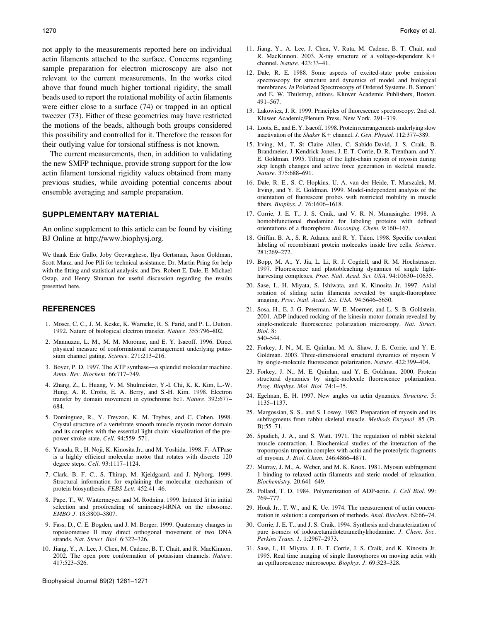not apply to the measurements reported here on individual actin filaments attached to the surface. Concerns regarding sample preparation for electron microscopy are also not relevant to the current measurements. In the works cited above that found much higher tortional rigidity, the small beads used to report the rotational mobility of actin filaments were either close to a surface (74) or trapped in an optical tweezer (73). Either of these geometries may have restricted the motions of the beads, although both groups considered this possibility and controlled for it. Therefore the reason for their outlying value for torsional stiffness is not known.

The current measurements, then, in addition to validating the new SMFP technique, provide strong support for the low actin filament torsional rigidity values obtained from many previous studies, while avoiding potential concerns about ensemble averaging and sample preparation.

## SUPPLEMENTARY MATERIAL

An online supplement to this article can be found by visiting BJ Online at http://www.biophysj.org.

We thank Eric Gallo, Joby Geevarghese, Ilya Gertsman, Jason Goldman, Scott Manz, and Joe Pili for technical assistance; Dr. Martin Pring for help with the fitting and statistical analysis; and Drs. Robert E. Dale, E. Michael Ostap, and Henry Shuman for useful discussion regarding the results presented here.

#### **REFERENCES**

- 1. Moser, C. C., J. M. Keske, K. Warncke, R. S. Farid, and P. L. Dutton. 1992. Nature of biological electron transfer. Nature. 355:796–802.
- 2. Mannuzzu, L. M., M. M. Moronne, and E. Y. Isacoff. 1996. Direct physical measure of conformational rearrangement underlying potassium channel gating. Science. 271:213–216.
- 3. Boyer, P. D. 1997. The ATP synthase—a splendid molecular machine. Annu. Rev. Biochem. 66:717–749.
- 4. Zhang, Z., L. Huang, V. M. Shulmeister, Y.-I. Chi, K. K. Kim, L.-W. Hung, A. R. Crofts, E. A. Berry, and S.-H. Kim. 1998. Electron transfer by domain movement in cytochrome bc1. Nature. 392:677– 684.
- 5. Dominguez, R., Y. Freyzon, K. M. Trybus, and C. Cohen. 1998. Crystal structure of a vertebrate smooth muscle myosin motor domain and its complex with the essential light chain: visualization of the prepower stroke state. Cell. 94:559–571.
- 6. Yasuda, R., H. Noji, K. Kinosita Jr., and M. Yoshida. 1998. F<sub>1</sub>-ATPase is a highly efficient molecular motor that rotates with discrete 120 degree steps. Cell. 93:1117–1124.
- 7. Clark, B. F. C., S. Thirup, M. Kjeldgaard, and J. Nyborg. 1999. Structural information for explaining the molecular mechanism of protein biosynthesis. FEBS Lett. 452:41–46.
- 8. Pape, T., W. Wintermeyer, and M. Rodnina. 1999. Induced fit in initial selection and proofreading of aminoacyl-tRNA on the ribosome. EMBO J. 18:3800–3807.
- 9. Fass, D., C. E. Bogden, and J. M. Berger. 1999. Quaternary changes in topoisomerase II may direct orthogonal movement of two DNA strands. Nat. Struct. Biol. 6:322–326.
- 10. Jiang, Y., A. Lee, J. Chen, M. Cadene, B. T. Chait, and R. MacKinnon. 2002. The open pore conformation of potassium channels. Nature. 417:523–526.

Biophysical Journal 89(2) 1261–1271

- 11. Jiang, Y., A. Lee, J. Chen, V. Ruta, M. Cadene, B. T. Chait, and R. MacKinnon. 2003. X-ray structure of a voltage-dependent  $K+$ channel. Nature. 423:33–41.
- 12. Dale, R. E. 1988. Some aspects of excited-state probe emission spectroscopy for structure and dynamics of model and biological membranes. In Polarized Spectroscopy of Ordered Systems. B. Samori' and E. W. Thulstrup, editors. Kluwer Academic Publishers, Boston. 491–567.
- 13. Lakowicz, J. R. 1999. Principles of fluorescence spectroscopy. 2nd ed. Kluwer Academic/Plenum Press. New York. 291–319.
- 14. Loots, E., and E. Y. Isacoff. 1998. Protein rearrangements underlying slow inactivation of the Shaker K+ channel. J. Gen. Physiol. 112:377-389.
- 15. Irving, M., T. St Claire Allen, C. Sabido-David, J. S. Craik, B. Brandmeier, J. Kendrick-Jones, J. E. T. Corrie, D. R. Trentham, and Y. E. Goldman. 1995. Tilting of the light-chain region of myosin during step length changes and active force generation in skeletal muscle. Nature. 375:688–691.
- 16. Dale, R. E., S. C. Hopkins, U. A. van der Heide, T. Marszalek, M. Irving, and Y. E. Goldman. 1999. Model-independent analysis of the orientation of fluorescent probes with restricted mobility in muscle fibers. Biophys. J. 76:1606–1618.
- 17. Corrie, J. E. T., J. S. Craik, and V. R. N. Munasinghe. 1998. A homobifunctional rhodamine for labeling proteins with defined orientations of a fluorophore. Bioconjug. Chem. 9:160–167.
- 18. Griffin, B. A., S. R. Adams, and R. Y. Tsien. 1998. Specific covalent labeling of recombinant protein molecules inside live cells. Science. 281:269–272.
- 19. Bopp, M. A., Y. Jia, L. Li, R. J. Cogdell, and R. M. Hochstrasser. 1997. Fluorescence and photobleaching dynamics of single lightharvesting complexes. Proc. Natl. Acad. Sci. USA. 94:10630–10635.
- 20. Sase, I., H. Miyata, S. Ishiwata, and K. Kinosita Jr. 1997. Axial rotation of sliding actin filaments revealed by single-fluorophore imaging. Proc. Natl. Acad. Sci. USA. 94:5646–5650.
- 21. Sosa, H., E. J. G. Peterman, W. E. Moerner, and L. S. B. Goldstein. 2001. ADP-induced rocking of the kinesin motor domain revealed by single-molecule fluorescence polarization microscopy. Nat. Struct. Biol. 8: 540–544.
- 22. Forkey, J. N., M. E. Quinlan, M. A. Shaw, J. E. Corrie, and Y. E. Goldman. 2003. Three-dimensional structural dynamics of myosin V by single-molecule fluorescence polarization. Nature. 422:399–404.
- 23. Forkey, J. N., M. E. Quinlan, and Y. E. Goldman. 2000. Protein structural dynamics by single-molecule fluorescence polarization. Prog. Biophys. Mol. Biol. 74:1–35.
- 24. Egelman, E. H. 1997. New angles on actin dynamics. Structure. 5: 1135–1137.
- 25. Margossian, S. S., and S. Lowey. 1982. Preparation of myosin and its subfragments from rabbit skeletal muscle. Methods Enzymol. 85 (Pt. B):55–71.
- 26. Spudich, J. A., and S. Watt. 1971. The regulation of rabbit skeletal muscle contraction. I. Biochemical studies of the interaction of the tropomyosin-troponin complex with actin and the proteolytic fragments of myosin. J. Biol. Chem. 246:4866–4871.
- 27. Murray, J. M., A. Weber, and M. K. Knox. 1981. Myosin subfragment 1 binding to relaxed actin filaments and steric model of relaxation. Biochemistry. 20:641–649.
- 28. Pollard, T. D. 1984. Polymerization of ADP-actin. J. Cell Biol. 99: 769–777.
- 29. Houk Jr., T. W., and K. Ue. 1974. The measurement of actin concentration in solution: a comparison of methods. Anal. Biochem. 62:66–74.
- 30. Corrie, J. E. T., and J. S. Craik. 1994. Synthesis and characterization of pure isomers of iodoacetamidotetramethylrhodamine. J. Chem. Soc. Perkins Trans. 1. 1:2967–2973.
- 31. Sase, I., H. Miyata, J. E. T. Corrie, J. S. Craik, and K. Kinosita Jr. 1995. Real time imaging of single fluorophores on moving actin with an epifluorescence microscope. Biophys. J. 69:323–328.